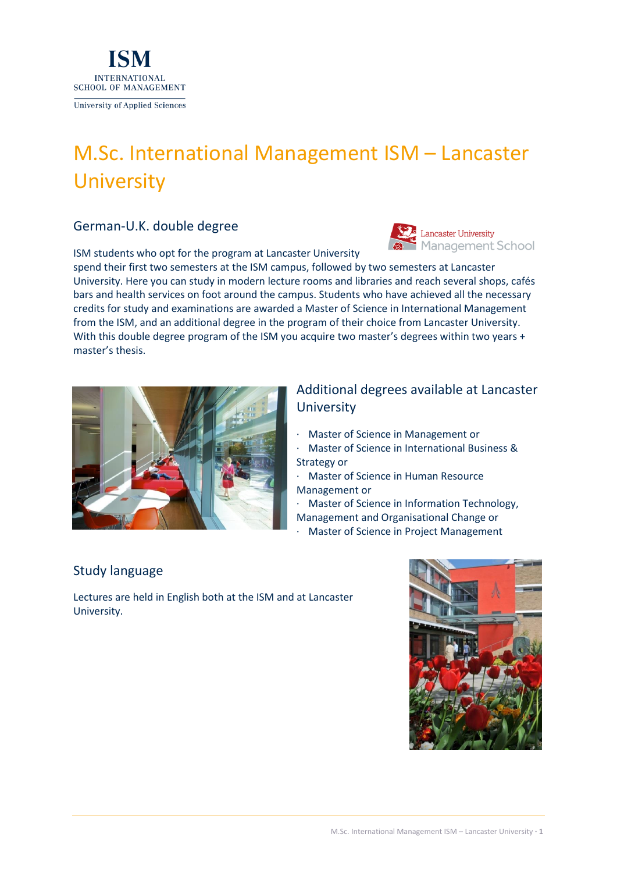

# M.Sc. International Management ISM – Lancaster **University**

### German-U.K. double degree

ISM students who opt for the program at Lancaster University



spend their first two semesters at the ISM campus, followed by two semesters at Lancaster University. Here you can study in modern lecture rooms and libraries and reach several shops, cafés bars and health services on foot around the campus. Students who have achieved all the necessary credits for study and examinations are awarded a Master of Science in International Management from the ISM, and an additional degree in the program of their choice from Lancaster University. With this double degree program of the ISM you acquire two master's degrees within two years + master's thesis.



## Additional degrees available at Lancaster **University**

- · Master of Science in Management or
- · Master of Science in International Business & Strategy or
- · Master of Science in Human Resource Management or
- · Master of Science in Information Technology, Management and Organisational Change or
- · Master of Science in Project Management

### Study language

Lectures are held in English both at the ISM and at Lancaster University.